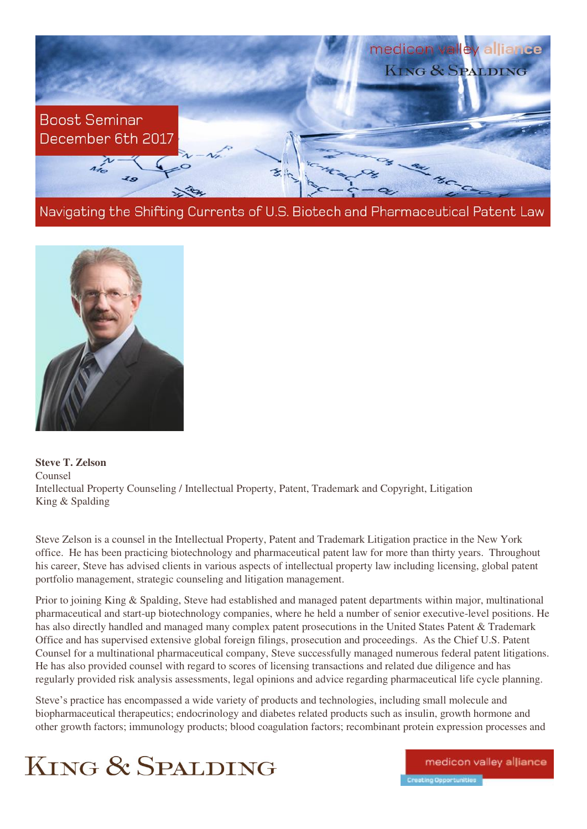

Navigating the Shifting Currents of U.S. Biotech and Pharmaceutical Patent Law



**Steve T. Zelson**  Counsel Intellectual Property Counseling / Intellectual Property, Patent, Trademark and Copyright, Litigation King & Spalding

Steve Zelson is a counsel in the Intellectual Property, Patent and Trademark Litigation practice in the New York office. He has been practicing biotechnology and pharmaceutical patent law for more than thirty years. Throughout his career, Steve has advised clients in various aspects of intellectual property law including licensing, global patent portfolio management, strategic counseling and litigation management.

Prior to joining King & Spalding, Steve had established and managed patent departments within major, multinational pharmaceutical and start-up biotechnology companies, where he held a number of senior executive-level positions. He has also directly handled and managed many complex patent prosecutions in the United States Patent & Trademark Office and has supervised extensive global foreign filings, prosecution and proceedings. As the Chief U.S. Patent Counsel for a multinational pharmaceutical company, Steve successfully managed numerous federal patent litigations. He has also provided counsel with regard to scores of licensing transactions and related due diligence and has regularly provided risk analysis assessments, legal opinions and advice regarding pharmaceutical life cycle planning.

Steve's practice has encompassed a wide variety of products and technologies, including small molecule and biopharmaceutical therapeutics; endocrinology and diabetes related products such as insulin, growth hormone and other growth factors; immunology products; blood coagulation factors; recombinant protein expression processes and



medicon valley alliance Creating Opportunities